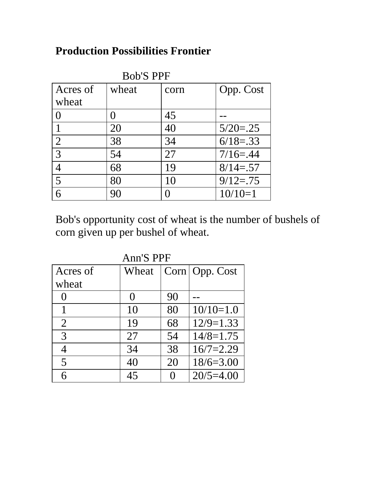## **Production Possibilities Frontier**

| <b>Bob'S PPF</b> |       |      |              |  |  |
|------------------|-------|------|--------------|--|--|
| Acres of         | wheat | corn | Opp. Cost    |  |  |
| wheat            |       |      |              |  |  |
| 0                |       | 45   |              |  |  |
|                  | 20    | 40   | $5/20 = .25$ |  |  |
| $\overline{2}$   | 38    | 34   | $6/18 = .33$ |  |  |
| 3                | 54    | 27   | $7/16 = .44$ |  |  |
| 4                | 68    | 19   | $8/14 = .57$ |  |  |
| 5                | 80    | 10   | $9/12 = .75$ |  |  |
| რ                | 90    |      | $10/10=1$    |  |  |

Bob's opportunity cost of wheat is the number of bushels of corn given up per bushel of wheat.

| <b>Ann'S PPF</b> |                   |    |                  |  |  |
|------------------|-------------------|----|------------------|--|--|
| Acres of         | Wheat             |    | Corn   Opp. Cost |  |  |
| wheat            |                   |    |                  |  |  |
| $\left( \right)$ | $\mathbf{\Omega}$ | 90 |                  |  |  |
| 1                | 10                | 80 | $10/10=1.0$      |  |  |
| $\overline{2}$   | 19                | 68 | $12/9=1.33$      |  |  |
| 3                | 27                | 54 | $14/8=1.75$      |  |  |
| 4                | 34                | 38 | $16/7=2.29$      |  |  |
| 5                | 40                | 20 | $18/6=3.00$      |  |  |
| 6                | 45                |    | $20/5 = 4.00$    |  |  |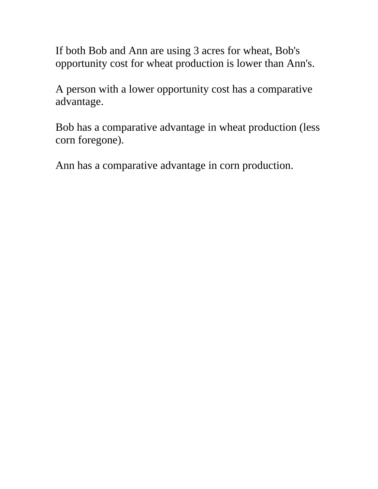If both Bob and Ann are using 3 acres for wheat, Bob's opportunity cost for wheat production is lower than Ann's.

A person with a lower opportunity cost has a comparative advantage.

Bob has a comparative advantage in wheat production (less corn foregone).

Ann has a comparative advantage in corn production.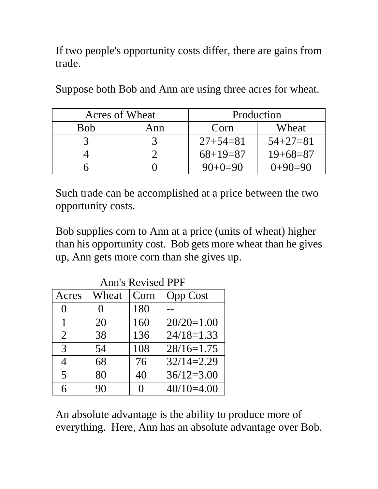If two people's opportunity costs differ, there are gains from trade.

| Acres of Wheat |     | Production     |                |
|----------------|-----|----------------|----------------|
| Bob            | Ann | Corn           | Wheat          |
|                |     | $27 + 54 = 81$ | $54 + 27 = 81$ |
|                |     | $68+19=87$     | $19+68=87$     |
|                |     | $90+0=90$      | $()+9()=9()$   |

Suppose both Bob and Ann are using three acres for wheat.

Such trade can be accomplished at a price between the two opportunity costs.

Bob supplies corn to Ann at a price (units of wheat) higher than his opportunity cost. Bob gets more wheat than he gives up, Ann gets more corn than she gives up.

| <b>Ann's Revised PPF</b> |          |      |                 |  |  |  |
|--------------------------|----------|------|-----------------|--|--|--|
| Acres                    | Wheat    | Corn | <b>Opp Cost</b> |  |  |  |
| $\theta$                 | $\Omega$ | 180  |                 |  |  |  |
| 1                        | 20       | 160  | $20/20=1.00$    |  |  |  |
| $\overline{2}$           | 38       | 136  | $24/18=1.33$    |  |  |  |
| 3                        | 54       | 108  | $28/16=1.75$    |  |  |  |
| $\overline{4}$           | 68       | 76   | $32/14=2.29$    |  |  |  |
| 5                        | 80       | 40   | $36/12=3.00$    |  |  |  |
| 6                        | 90       | 0    | $40/10=4.00$    |  |  |  |

Ann's Revised PPF

An absolute advantage is the ability to produce more of everything. Here, Ann has an absolute advantage over Bob.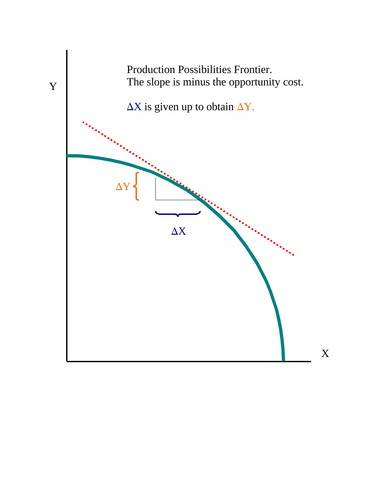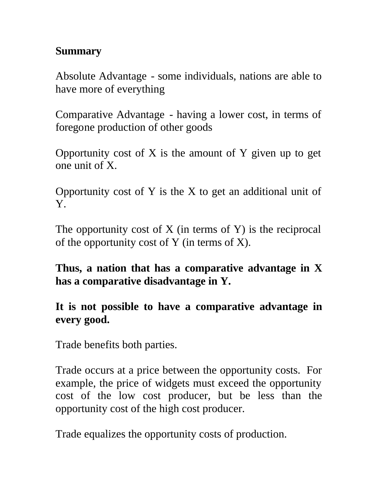## **Summary**

Absolute Advantage - some individuals, nations are able to have more of everything

Comparative Advantage - having a lower cost, in terms of foregone production of other goods

Opportunity cost of X is the amount of Y given up to get one unit of X.

Opportunity cost of Y is the X to get an additional unit of Y.

The opportunity cost of  $X$  (in terms of  $Y$ ) is the reciprocal of the opportunity cost of Y (in terms of X).

**Thus, a nation that has a comparative advantage in X has a comparative disadvantage in Y.**

**It is not possible to have a comparative advantage in every good.**

Trade benefits both parties.

Trade occurs at a price between the opportunity costs. For example, the price of widgets must exceed the opportunity cost of the low cost producer, but be less than the opportunity cost of the high cost producer.

Trade equalizes the opportunity costs of production.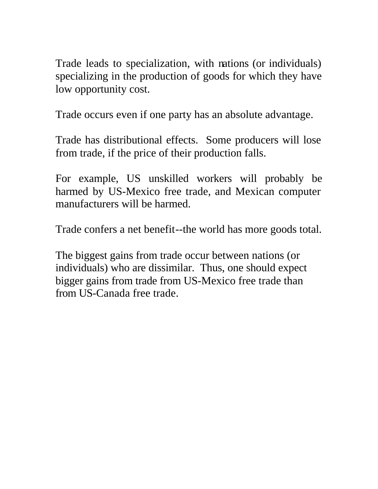Trade leads to specialization, with nations (or individuals) specializing in the production of goods for which they have low opportunity cost.

Trade occurs even if one party has an absolute advantage.

Trade has distributional effects. Some producers will lose from trade, if the price of their production falls.

For example, US unskilled workers will probably be harmed by US-Mexico free trade, and Mexican computer manufacturers will be harmed.

Trade confers a net benefit--the world has more goods total.

The biggest gains from trade occur between nations (or individuals) who are dissimilar. Thus, one should expect bigger gains from trade from US-Mexico free trade than from US-Canada free trade.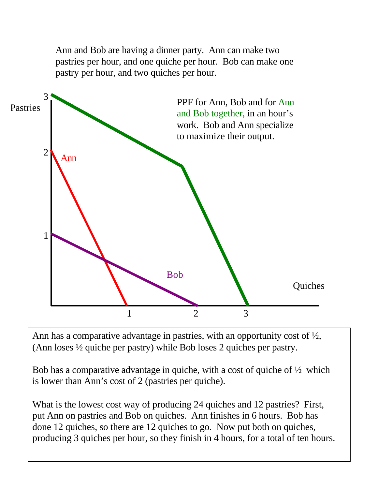Ann and Bob are having a dinner party. Ann can make two pastries per hour, and one quiche per hour. Bob can make one pastry per hour, and two quiches per hour.



Ann has a comparative advantage in pastries, with an opportunity cost of  $\frac{1}{2}$ , (Ann loses ½ quiche per pastry) while Bob loses 2 quiches per pastry.

Bob has a comparative advantage in quiche, with a cost of quiche of  $\frac{1}{2}$  which is lower than Ann's cost of 2 (pastries per quiche).

What is the lowest cost way of producing 24 quiches and 12 pastries? First, put Ann on pastries and Bob on quiches. Ann finishes in 6 hours. Bob has done 12 quiches, so there are 12 quiches to go. Now put both on quiches, producing 3 quiches per hour, so they finish in 4 hours, for a total of ten hours.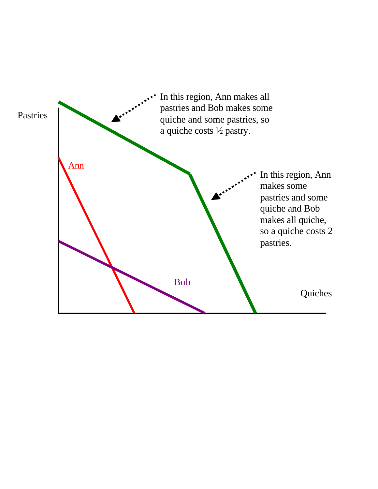